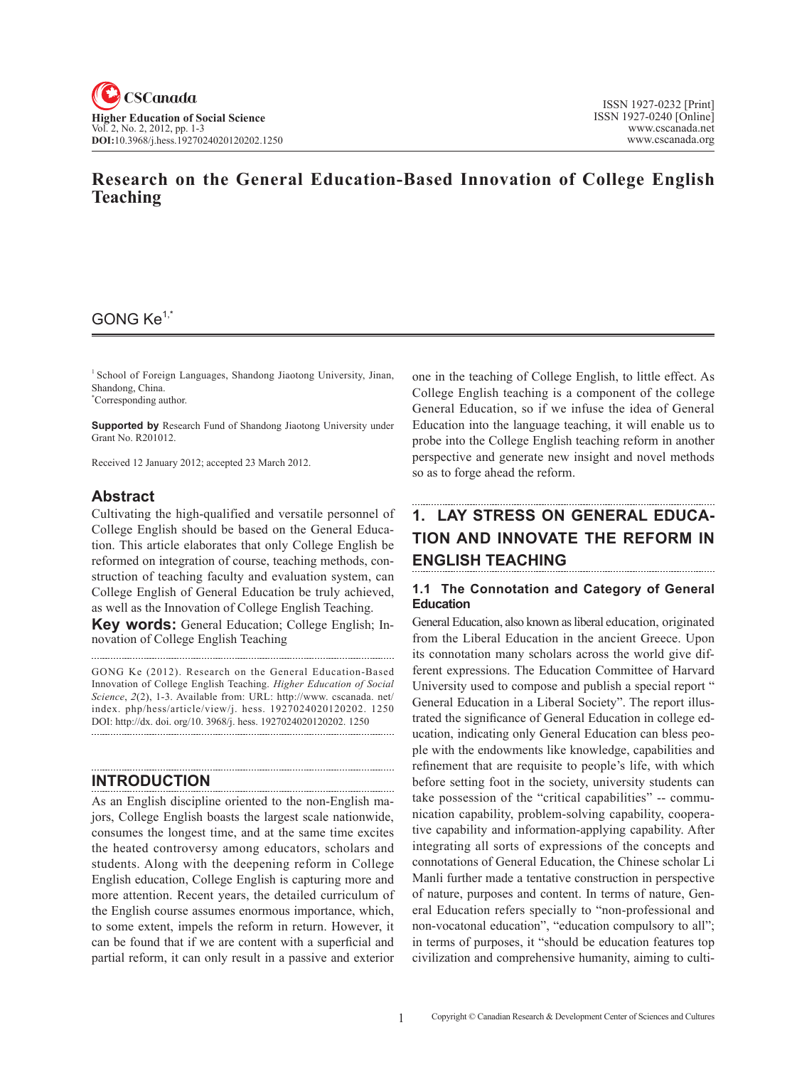# **Research on the General Education-based Innovation of College English Teaching**

# GONG Ke1,\*

<sup>1</sup> School of Foreign Languages, Shandong Jiaotong University, Jinan, Shandong, China.

\* Corresponding author.

**Supported by** Research Fund of Shandong Jiaotong University under Grant No. R201012.

Received 12 January 2012; accepted 23 March 2012.

## **Abstract**

Cultivating the high-qualified and versatile personnel of College English should be based on the General Education. This article elaborates that only College English be reformed on integration of course, teaching methods, construction of teaching faculty and evaluation system, can College English of General Education be truly achieved, as well as the Innovation of College English Teaching. **Key words:** General Education; College English; Innovation of College English Teaching

GONG Ke (2012). Research on the General Education-based Innovation of College English Teaching. *Higher Education of Social Science*, 2(2), 1-3. Available from: URL: http://www. cscanada. net/ index. php/hess/article/view/j. hess. 1927024020120202. 1250 DOI: http://dx. doi. org/10. 3968/j. hess. 1927024020120202. 1250

## **Introduction**

As an English discipline oriented to the non-English majors, College English boasts the largest scale nationwide, consumes the longest time, and at the same time excites the heated controversy among educators, scholars and students. Along with the deepening reform in College English education, College English is capturing more and more attention. Recent years, the detailed curriculum of the English course assumes enormous importance, which, to some extent, impels the reform in return. However, it can be found that if we are content with a superficial and partial reform, it can only result in a passive and exterior one in the teaching of College English, to little effect. As College English teaching is a component of the college General Education, so if we infuse the idea of General Education into the language teaching, it will enable us to probe into the College English teaching reform in another perspective and generate new insight and novel methods so as to forge ahead the reform.

# **1. Lay Stress on General Education and Innovate the Reform in English teaching**

### **1.1 The Connotation and Category of General Education**

General Education, also known as liberal education, originated from the Liberal Education in the ancient Greece. Upon its connotation many scholars across the world give different expressions. The Education Committee of Harvard University used to compose and publish a special report " General Education in a Liberal Society". The report illustrated the significance of General Education in college education, indicating only General Education can bless people with the endowments like knowledge, capabilities and refinement that are requisite to people's life, with which before setting foot in the society, university students can take possession of the "critical capabilities" -- communication capability, problem-solving capability, cooperative capability and information-applying capability. After integrating all sorts of expressions of the concepts and connotations of General Education, the Chinese scholar Li Manli further made a tentative construction in perspective of nature, purposes and content. In terms of nature, General Education refers specially to "non-professional and non-vocatonal education", "education compulsory to all"; in terms of purposes, it "should be education features top civilization and comprehensive humanity, aiming to culti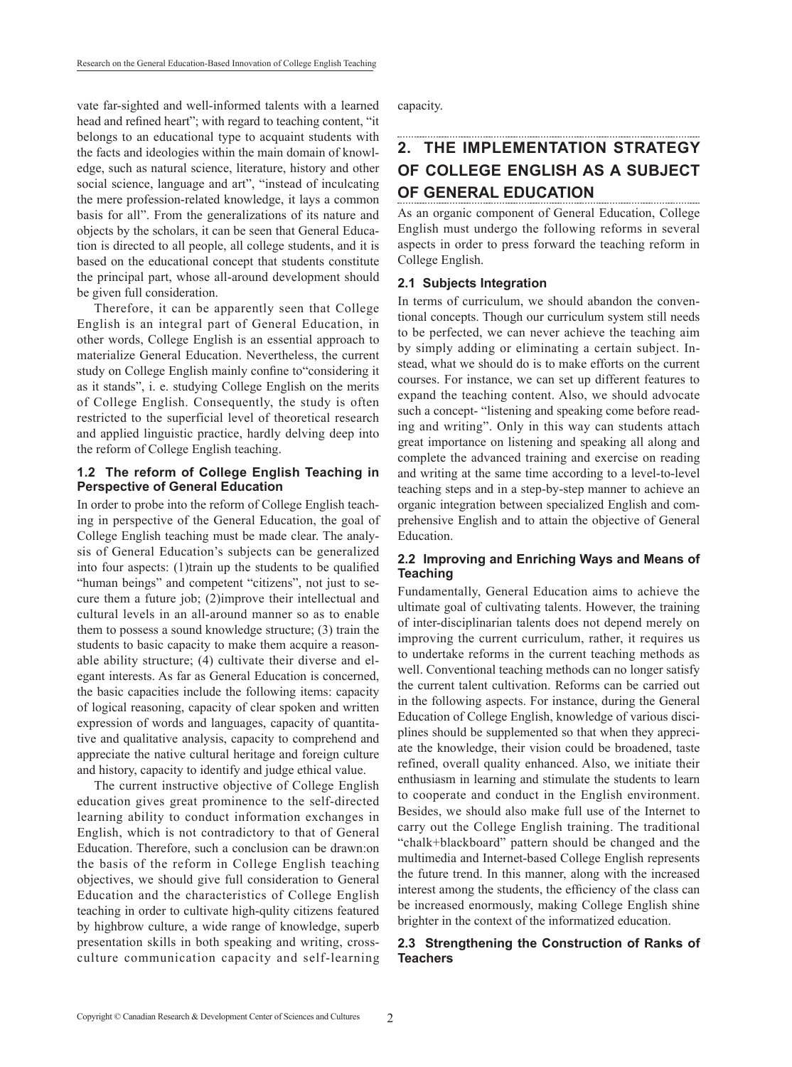vate far-sighted and well-informed talents with a learned head and refined heart"; with regard to teaching content, "it belongs to an educational type to acquaint students with the facts and ideologies within the main domain of knowledge, such as natural science, literature, history and other social science, language and art", "instead of inculcating the mere profession-related knowledge, it lays a common basis for all". From the generalizations of its nature and objects by the scholars, it can be seen that General Education is directed to all people, all college students, and it is based on the educational concept that students constitute the principal part, whose all-around development should be given full consideration.

Therefore, it can be apparently seen that College English is an integral part of General Education, in other words, College English is an essential approach to materialize General Education. Nevertheless, the current study on College English mainly confine to"considering it as it stands", i. e. studying College English on the merits of College English. Consequently, the study is often restricted to the superficial level of theoretical research and applied linguistic practice, hardly delving deep into the reform of College English teaching.

#### **1.2 The reform of College English Teaching in Perspective of General Education**

In order to probe into the reform of College English teaching in perspective of the General Education, the goal of College English teaching must be made clear. The analysis of General Education's subjects can be generalized into four aspects: (1)train up the students to be qualified "human beings" and competent "citizens", not just to secure them a future job; (2)improve their intellectual and cultural levels in an all-around manner so as to enable them to possess a sound knowledge structure; (3) train the students to basic capacity to make them acquire a reasonable ability structure; (4) cultivate their diverse and elegant interests. As far as General Education is concerned, the basic capacities include the following items: capacity of logical reasoning, capacity of clear spoken and written expression of words and languages, capacity of quantitative and qualitative analysis, capacity to comprehend and appreciate the native cultural heritage and foreign culture and history, capacity to identify and judge ethical value.

The current instructive objective of College English education gives great prominence to the self-directed learning ability to conduct information exchanges in English, which is not contradictory to that of General Education. Therefore, such a conclusion can be drawn:on the basis of the reform in College English teaching objectives, we should give full consideration to General Education and the characteristics of College English teaching in order to cultivate high-qulity citizens featured by highbrow culture, a wide range of knowledge, superb presentation skills in both speaking and writing, crossculture communication capacity and self-learning capacity.

# **2. The implementation strategy of College English as a subject of General Education**

As an organic component of General Education, College English must undergo the following reforms in several aspects in order to press forward the teaching reform in College English.

#### **2.1 Subjects Integration**

In terms of curriculum, we should abandon the conventional concepts. Though our curriculum system still needs to be perfected, we can never achieve the teaching aim by simply adding or eliminating a certain subject. Instead, what we should do is to make efforts on the current courses. For instance, we can set up different features to expand the teaching content. Also, we should advocate such a concept- "listening and speaking come before reading and writing". Only in this way can students attach great importance on listening and speaking all along and complete the advanced training and exercise on reading and writing at the same time according to a level-to-level teaching steps and in a step-by-step manner to achieve an organic integration between specialized English and comprehensive English and to attain the objective of General Education.

### **2.2 Improving and Enriching Ways and Means of Teaching**

Fundamentally, General Education aims to achieve the ultimate goal of cultivating talents. However, the training of inter-disciplinarian talents does not depend merely on improving the current curriculum, rather, it requires us to undertake reforms in the current teaching methods as well. Conventional teaching methods can no longer satisfy the current talent cultivation. Reforms can be carried out in the following aspects. For instance, during the General Education of College English, knowledge of various disciplines should be supplemented so that when they appreciate the knowledge, their vision could be broadened, taste refined, overall quality enhanced. Also, we initiate their enthusiasm in learning and stimulate the students to learn to cooperate and conduct in the English environment. Besides, we should also make full use of the Internet to carry out the College English training. The traditional "chalk+blackboard" pattern should be changed and the multimedia and Internet-based College English represents the future trend. In this manner, along with the increased interest among the students, the efficiency of the class can be increased enormously, making College English shine brighter in the context of the informatized education.

### **2.3 Strengthening the Construction of Ranks of Teachers**